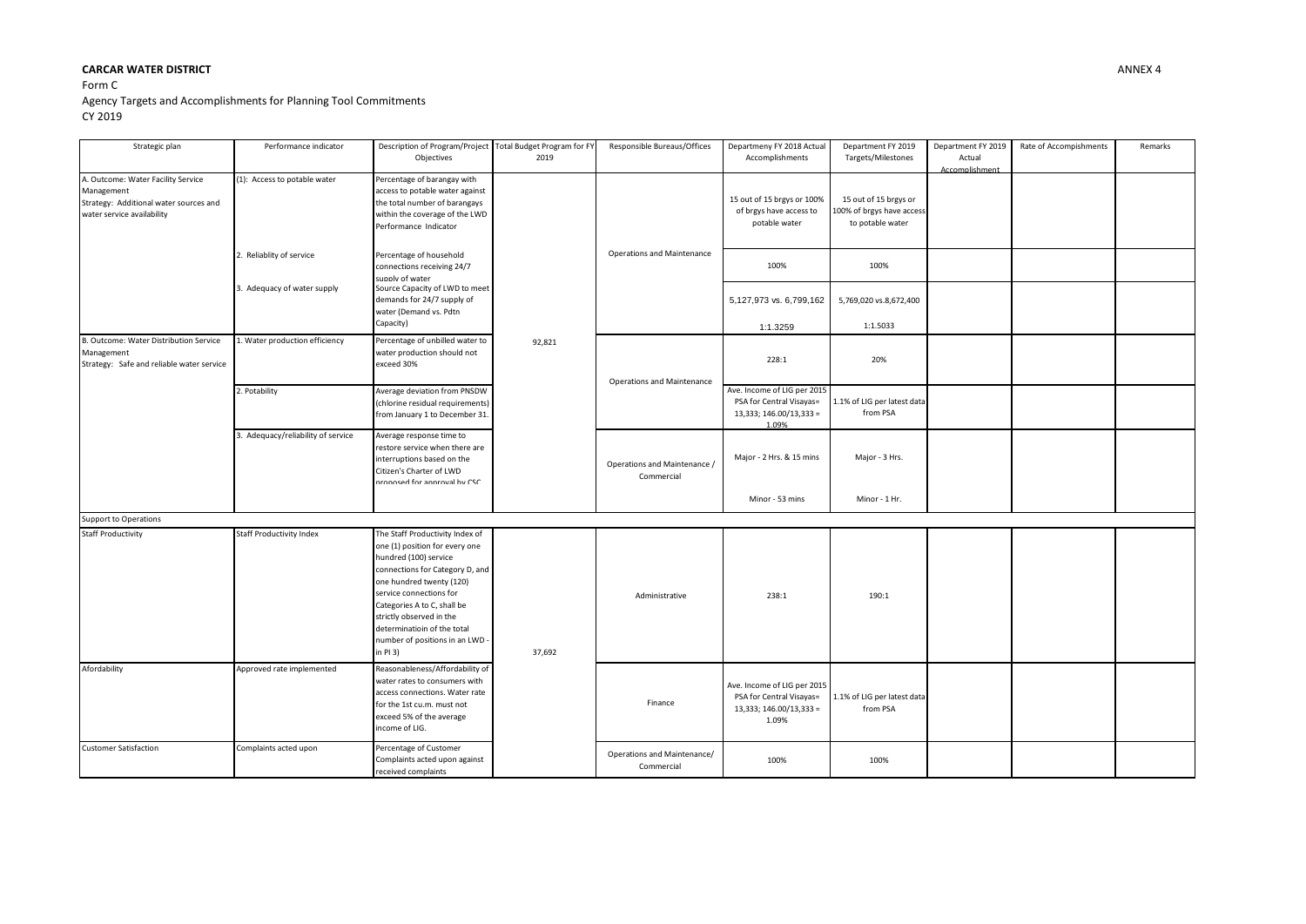## **CARCAR WATER DISTRICT** ANNEX 4

## Form C Agency Targets and Accomplishments for Planning Tool Commitments CY 2019

| Strategic plan                                                                                                           | Performance indicator             | Description of Program/Project Total Budget Program for FY<br>Objectives                                                                                                                                                                                                                                                      | 2019   | Responsible Bureaus/Offices                | Departmeny FY 2018 Actual<br>Accomplishments                                                | Department FY 2019<br>Targets/Milestones                               | Department FY 2019<br>Actual<br>Accomplishment | Rate of Accompishments | Remarks |
|--------------------------------------------------------------------------------------------------------------------------|-----------------------------------|-------------------------------------------------------------------------------------------------------------------------------------------------------------------------------------------------------------------------------------------------------------------------------------------------------------------------------|--------|--------------------------------------------|---------------------------------------------------------------------------------------------|------------------------------------------------------------------------|------------------------------------------------|------------------------|---------|
| A. Outcome: Water Facility Service<br>Management<br>Strategy: Additional water sources and<br>water service availability | (1): Access to potable water      | Percentage of barangay with<br>access to potable water against<br>the total number of barangays<br>within the coverage of the LWD<br>Performance Indicator                                                                                                                                                                    | 92,821 | <b>Operations and Maintenance</b>          | 15 out of 15 brgys or 100%<br>of brgys have access to<br>potable water                      | 15 out of 15 brgys or<br>100% of brgys have access<br>to potable water |                                                |                        |         |
|                                                                                                                          | 2. Reliablity of service          | Percentage of household<br>connections receiving 24/7<br>supply of water                                                                                                                                                                                                                                                      |        |                                            | 100%                                                                                        | 100%                                                                   |                                                |                        |         |
|                                                                                                                          | 3. Adequacy of water supply       | Source Capacity of LWD to meet<br>demands for 24/7 supply of<br>water (Demand vs. Pdtn<br>Capacity)                                                                                                                                                                                                                           |        |                                            | 5,127,973 vs. 6,799,162<br>1:1.3259                                                         | 5,769,020 vs.8,672,400<br>1:1.5033                                     |                                                |                        |         |
| B. Outcome: Water Distribution Service<br>Management<br>Strategy: Safe and reliable water service                        | 1. Water production efficiency    | Percentage of unbilled water to<br>water production should not<br>exceed 30%                                                                                                                                                                                                                                                  |        | <b>Operations and Maintenance</b>          | 228:1                                                                                       | 20%                                                                    |                                                |                        |         |
|                                                                                                                          | 2. Potability                     | Average deviation from PNSDW<br>(chlorine residual requirements)<br>from January 1 to December 31.                                                                                                                                                                                                                            |        |                                            | Ave. Income of LIG per 2015<br>PSA for Central Visayas=<br>13,333; 146.00/13,333 =<br>1.09% | 1.1% of LIG per latest data<br>from PSA                                |                                                |                        |         |
|                                                                                                                          | . Adequacy/reliability of service | Average response time to<br>restore service when there are<br>interruptions based on the<br>Citizen's Charter of LWD<br>nronosed for annroval by CSC                                                                                                                                                                          |        | Operations and Maintenance /<br>Commercial | Major - 2 Hrs. & 15 mins                                                                    | Major - 3 Hrs.                                                         |                                                |                        |         |
|                                                                                                                          |                                   |                                                                                                                                                                                                                                                                                                                               |        |                                            | Minor - 53 mins                                                                             | Minor - 1 Hr.                                                          |                                                |                        |         |
| Support to Operations                                                                                                    |                                   |                                                                                                                                                                                                                                                                                                                               |        |                                            |                                                                                             |                                                                        |                                                |                        |         |
| <b>Staff Productivity</b>                                                                                                | <b>Staff Productivity Index</b>   | The Staff Productivity Index of<br>one (1) position for every one<br>hundred (100) service<br>connections for Category D, and<br>one hundred twenty (120)<br>service connections for<br>Categories A to C, shall be<br>strictly observed in the<br>determinatioin of the total<br>number of positions in an LWD -<br>in PI 3) | 37,692 | Administrative                             | 238:1                                                                                       | 190:1                                                                  |                                                |                        |         |
| Afordability                                                                                                             | Approved rate implemented         | Reasonableness/Affordability of<br>water rates to consumers with<br>access connections. Water rate<br>for the 1st cu.m. must not<br>exceed 5% of the average<br>income of LIG.                                                                                                                                                |        | Finance                                    | Ave. Income of LIG per 2015<br>PSA for Central Visayas=<br>13,333; 146.00/13,333 =<br>1.09% | 1.1% of LIG per latest data<br>from PSA                                |                                                |                        |         |
| <b>Customer Satisfaction</b>                                                                                             | Complaints acted upon             | Percentage of Customer<br>Complaints acted upon against<br>received complaints                                                                                                                                                                                                                                                |        | Operations and Maintenance/<br>Commercial  | 100%                                                                                        | 100%                                                                   |                                                |                        |         |